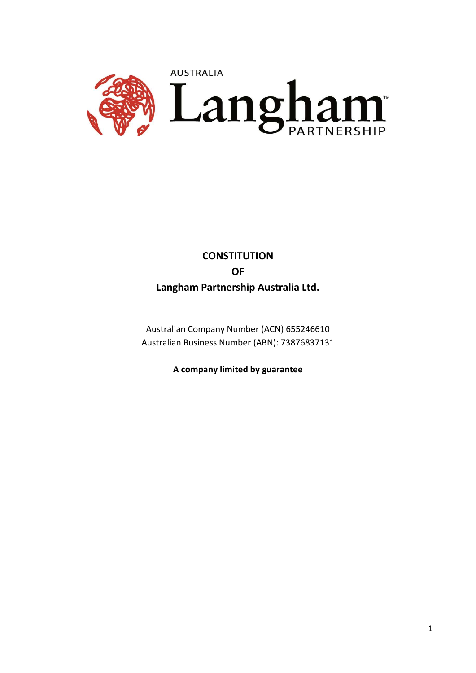

# **CONSTITUTION** OF Langham Partnership Australia Ltd.

Australian Company Number (ACN) 655246610 Australian Business Number (ABN): 73876837131

A company limited by guarantee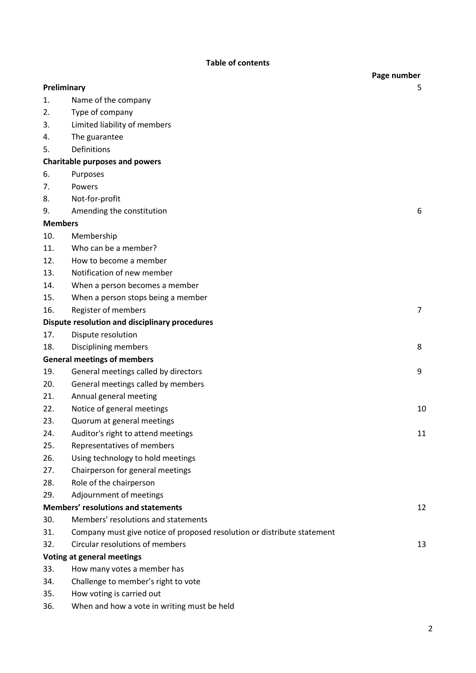# Table of contents

|                                       |                                                                         | Page number    |  |  |
|---------------------------------------|-------------------------------------------------------------------------|----------------|--|--|
| Preliminary                           |                                                                         | 5              |  |  |
| 1.                                    | Name of the company                                                     |                |  |  |
| 2.                                    | Type of company                                                         |                |  |  |
| 3.                                    | Limited liability of members                                            |                |  |  |
| 4.                                    | The guarantee                                                           |                |  |  |
| 5.                                    | Definitions                                                             |                |  |  |
| <b>Charitable purposes and powers</b> |                                                                         |                |  |  |
| 6.                                    | Purposes                                                                |                |  |  |
| 7.                                    | Powers                                                                  |                |  |  |
| 8.                                    | Not-for-profit                                                          |                |  |  |
| 9.                                    | Amending the constitution                                               | 6              |  |  |
|                                       | <b>Members</b>                                                          |                |  |  |
| 10.                                   | Membership                                                              |                |  |  |
| 11.                                   | Who can be a member?                                                    |                |  |  |
| 12.                                   | How to become a member                                                  |                |  |  |
| 13.                                   | Notification of new member                                              |                |  |  |
| 14.                                   | When a person becomes a member                                          |                |  |  |
| 15.                                   | When a person stops being a member                                      |                |  |  |
| 16.                                   | Register of members                                                     | $\overline{7}$ |  |  |
|                                       | Dispute resolution and disciplinary procedures                          |                |  |  |
| 17.                                   | Dispute resolution                                                      |                |  |  |
| 18.                                   | Disciplining members                                                    | 8              |  |  |
| <b>General meetings of members</b>    |                                                                         |                |  |  |
| 19.                                   | General meetings called by directors                                    | 9              |  |  |
| 20.                                   | General meetings called by members                                      |                |  |  |
| 21.                                   | Annual general meeting                                                  |                |  |  |
| 22.                                   | Notice of general meetings                                              | 10             |  |  |
| 23.                                   | Quorum at general meetings                                              |                |  |  |
| 24.                                   | Auditor's right to attend meetings                                      | 11             |  |  |
| 25.                                   | Representatives of members                                              |                |  |  |
| 26.                                   | Using technology to hold meetings                                       |                |  |  |
| 27.                                   | Chairperson for general meetings                                        |                |  |  |
| 28.                                   | Role of the chairperson                                                 |                |  |  |
| 29.                                   | Adjournment of meetings                                                 |                |  |  |
|                                       | <b>Members' resolutions and statements</b>                              | 12             |  |  |
| 30.                                   | Members' resolutions and statements                                     |                |  |  |
| 31.                                   | Company must give notice of proposed resolution or distribute statement |                |  |  |
| 32.                                   | Circular resolutions of members                                         | 13             |  |  |
| <b>Voting at general meetings</b>     |                                                                         |                |  |  |
| 33.                                   | How many votes a member has                                             |                |  |  |
| 34.                                   | Challenge to member's right to vote                                     |                |  |  |
|                                       |                                                                         |                |  |  |

- 35. How voting is carried out
- 36. When and how a vote in writing must be held

2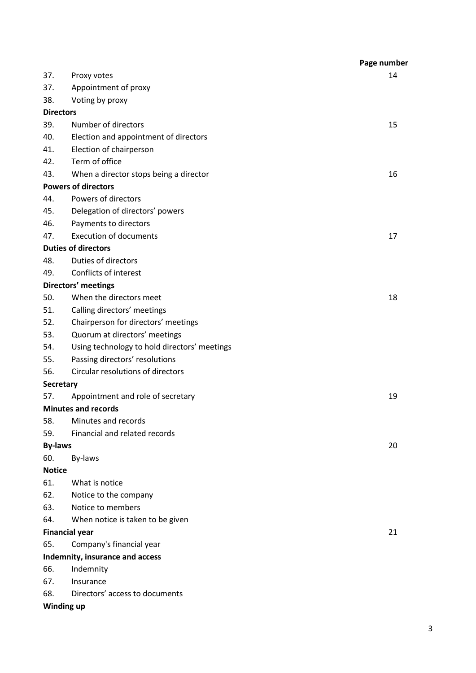|                                 |                                              | Page number |  |
|---------------------------------|----------------------------------------------|-------------|--|
| 37.                             | Proxy votes                                  | 14          |  |
| 37.                             | Appointment of proxy                         |             |  |
| 38.                             | Voting by proxy                              |             |  |
| <b>Directors</b>                |                                              |             |  |
| 39.                             | Number of directors                          | 15          |  |
| 40.                             | Election and appointment of directors        |             |  |
| 41.                             | Election of chairperson                      |             |  |
| 42.                             | Term of office                               |             |  |
| 43.                             | When a director stops being a director       | 16          |  |
| <b>Powers of directors</b>      |                                              |             |  |
| 44.                             | Powers of directors                          |             |  |
| 45.                             | Delegation of directors' powers              |             |  |
| 46.                             | Payments to directors                        |             |  |
| 47.                             | <b>Execution of documents</b>                | 17          |  |
|                                 | <b>Duties of directors</b>                   |             |  |
| 48.                             | <b>Duties of directors</b>                   |             |  |
| 49.                             | Conflicts of interest                        |             |  |
| Directors' meetings             |                                              |             |  |
| 50.                             | When the directors meet                      | 18          |  |
| 51.                             | Calling directors' meetings                  |             |  |
| 52.                             | Chairperson for directors' meetings          |             |  |
| 53.                             | Quorum at directors' meetings                |             |  |
| 54.                             | Using technology to hold directors' meetings |             |  |
| 55.                             | Passing directors' resolutions               |             |  |
| 56.                             | Circular resolutions of directors            |             |  |
|                                 | <b>Secretary</b>                             |             |  |
| 57.                             | Appointment and role of secretary            | 19          |  |
|                                 | <b>Minutes and records</b>                   |             |  |
| 58.                             | Minutes and records                          |             |  |
| 59.                             | Financial and related records                |             |  |
| <b>By-laws</b>                  |                                              | 20          |  |
| 60.                             | By-laws                                      |             |  |
| <b>Notice</b>                   |                                              |             |  |
| 61.                             | What is notice                               |             |  |
| 62.                             | Notice to the company                        |             |  |
| 63.                             | Notice to members                            |             |  |
| 64.                             | When notice is taken to be given             |             |  |
| <b>Financial year</b>           |                                              | 21          |  |
| 65.                             | Company's financial year                     |             |  |
| Indemnity, insurance and access |                                              |             |  |
| 66.                             | Indemnity                                    |             |  |
| 67.                             | Insurance                                    |             |  |
| 68.                             | Directors' access to documents               |             |  |
| Winding up                      |                                              |             |  |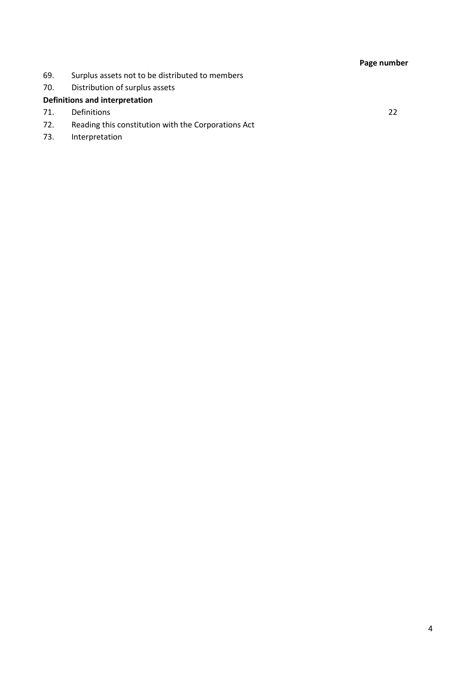# Page number

- 69. Surplus assets not to be distributed to members
- 70. Distribution of surplus assets

# Definitions and interpretation

- 71. Definitions 22
- 72. Reading this constitution with the Corporations Act
- 73. Interpretation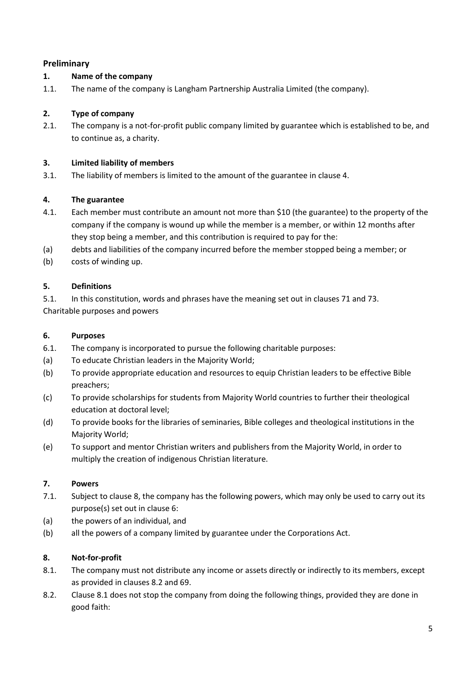# Preliminary

# 1. Name of the company

1.1. The name of the company is Langham Partnership Australia Limited (the company).

# 2. Type of company

2.1. The company is a not-for-profit public company limited by guarantee which is established to be, and to continue as, a charity.

# 3. Limited liability of members

3.1. The liability of members is limited to the amount of the guarantee in clause 4.

# 4. The guarantee

- 4.1. Each member must contribute an amount not more than \$10 (the guarantee) to the property of the company if the company is wound up while the member is a member, or within 12 months after they stop being a member, and this contribution is required to pay for the:
- (a) debts and liabilities of the company incurred before the member stopped being a member; or
- (b) costs of winding up.

# 5. Definitions

5.1. In this constitution, words and phrases have the meaning set out in clauses 71 and 73. Charitable purposes and powers

### 6. Purposes

- 6.1. The company is incorporated to pursue the following charitable purposes:
- (a) To educate Christian leaders in the Majority World;
- (b) To provide appropriate education and resources to equip Christian leaders to be effective Bible preachers;
- (c) To provide scholarships for students from Majority World countries to further their theological education at doctoral level;
- (d) To provide books for the libraries of seminaries, Bible colleges and theological institutions in the Majority World;
- (e) To support and mentor Christian writers and publishers from the Majority World, in order to multiply the creation of indigenous Christian literature.

### 7. Powers

- 7.1. Subject to clause 8, the company has the following powers, which may only be used to carry out its purpose(s) set out in clause 6:
- (a) the powers of an individual, and
- (b) all the powers of a company limited by guarantee under the Corporations Act.

# 8. Not-for-profit

- 8.1. The company must not distribute any income or assets directly or indirectly to its members, except as provided in clauses 8.2 and 69.
- 8.2. Clause 8.1 does not stop the company from doing the following things, provided they are done in good faith: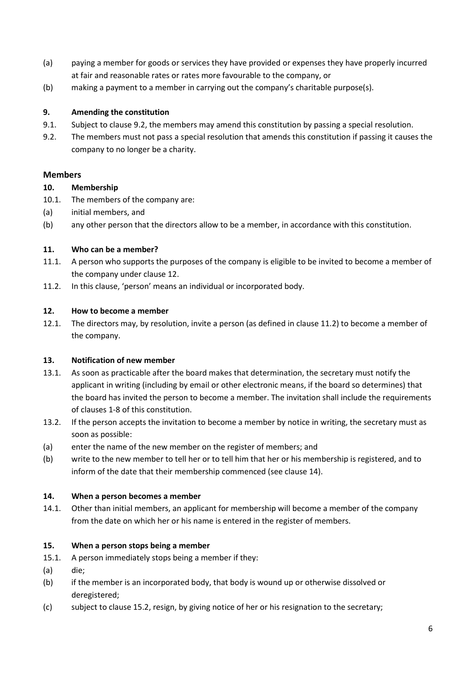- (a) paying a member for goods or services they have provided or expenses they have properly incurred at fair and reasonable rates or rates more favourable to the company, or
- (b) making a payment to a member in carrying out the company's charitable purpose(s).

### 9. Amending the constitution

- 9.1. Subject to clause 9.2, the members may amend this constitution by passing a special resolution.
- 9.2. The members must not pass a special resolution that amends this constitution if passing it causes the company to no longer be a charity.

# Members

### 10. Membership

- 10.1. The members of the company are:
- (a) initial members, and
- (b) any other person that the directors allow to be a member, in accordance with this constitution.

# 11. Who can be a member?

- 11.1. A person who supports the purposes of the company is eligible to be invited to become a member of the company under clause 12.
- 11.2. In this clause, 'person' means an individual or incorporated body.

### 12. How to become a member

12.1. The directors may, by resolution, invite a person (as defined in clause 11.2) to become a member of the company.

### 13. Notification of new member

- 13.1. As soon as practicable after the board makes that determination, the secretary must notify the applicant in writing (including by email or other electronic means, if the board so determines) that the board has invited the person to become a member. The invitation shall include the requirements of clauses 1-8 of this constitution.
- 13.2. If the person accepts the invitation to become a member by notice in writing, the secretary must as soon as possible:
- (a) enter the name of the new member on the register of members; and
- (b) write to the new member to tell her or to tell him that her or his membership is registered, and to inform of the date that their membership commenced (see clause 14).

### 14. When a person becomes a member

14.1. Other than initial members, an applicant for membership will become a member of the company from the date on which her or his name is entered in the register of members.

### 15. When a person stops being a member

- 15.1. A person immediately stops being a member if they:
- (a) die;
- (b) if the member is an incorporated body, that body is wound up or otherwise dissolved or deregistered;
- (c) subject to clause 15.2, resign, by giving notice of her or his resignation to the secretary;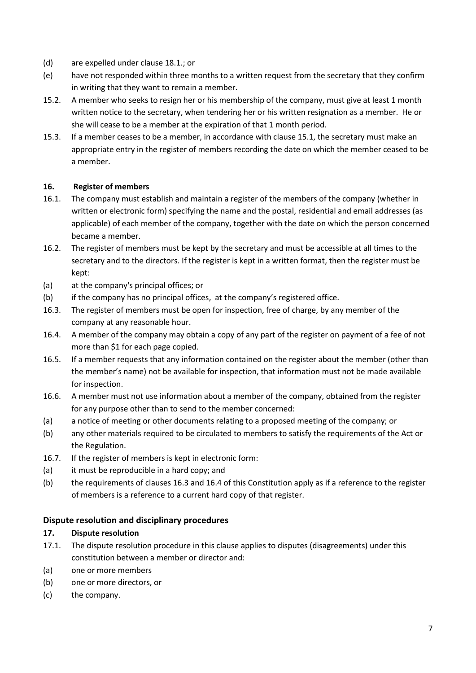- (d) are expelled under clause 18.1.; or
- (e) have not responded within three months to a written request from the secretary that they confirm in writing that they want to remain a member.
- 15.2. A member who seeks to resign her or his membership of the company, must give at least 1 month written notice to the secretary, when tendering her or his written resignation as a member. He or she will cease to be a member at the expiration of that 1 month period.
- 15.3. If a member ceases to be a member, in accordance with clause 15.1, the secretary must make an appropriate entry in the register of members recording the date on which the member ceased to be a member.

### 16. Register of members

- 16.1. The company must establish and maintain a register of the members of the company (whether in written or electronic form) specifying the name and the postal, residential and email addresses (as applicable) of each member of the company, together with the date on which the person concerned became a member.
- 16.2. The register of members must be kept by the secretary and must be accessible at all times to the secretary and to the directors. If the register is kept in a written format, then the register must be kept:
- (a) at the company's principal offices; or
- (b) if the company has no principal offices, at the company's registered office.
- 16.3. The register of members must be open for inspection, free of charge, by any member of the company at any reasonable hour.
- 16.4. A member of the company may obtain a copy of any part of the register on payment of a fee of not more than \$1 for each page copied.
- 16.5. If a member requests that any information contained on the register about the member (other than the member's name) not be available for inspection, that information must not be made available for inspection.
- 16.6. A member must not use information about a member of the company, obtained from the register for any purpose other than to send to the member concerned:
- (a) a notice of meeting or other documents relating to a proposed meeting of the company; or
- (b) any other materials required to be circulated to members to satisfy the requirements of the Act or the Regulation.
- 16.7. If the register of members is kept in electronic form:
- (a) it must be reproducible in a hard copy; and
- (b) the requirements of clauses 16.3 and 16.4 of this Constitution apply as if a reference to the register of members is a reference to a current hard copy of that register.

# Dispute resolution and disciplinary procedures

### 17. Dispute resolution

- 17.1. The dispute resolution procedure in this clause applies to disputes (disagreements) under this constitution between a member or director and:
- (a) one or more members
- (b) one or more directors, or
- (c) the company.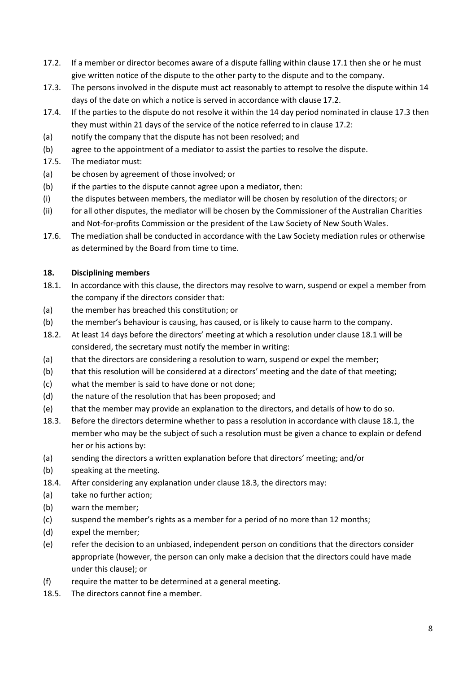- 17.2. If a member or director becomes aware of a dispute falling within clause 17.1 then she or he must give written notice of the dispute to the other party to the dispute and to the company.
- 17.3. The persons involved in the dispute must act reasonably to attempt to resolve the dispute within 14 days of the date on which a notice is served in accordance with clause 17.2.
- 17.4. If the parties to the dispute do not resolve it within the 14 day period nominated in clause 17.3 then they must within 21 days of the service of the notice referred to in clause 17.2:
- (a) notify the company that the dispute has not been resolved; and
- (b) agree to the appointment of a mediator to assist the parties to resolve the dispute.
- 17.5. The mediator must:
- (a) be chosen by agreement of those involved; or
- (b) if the parties to the dispute cannot agree upon a mediator, then:
- (i) the disputes between members, the mediator will be chosen by resolution of the directors; or
- (ii) for all other disputes, the mediator will be chosen by the Commissioner of the Australian Charities and Not-for-profits Commission or the president of the Law Society of New South Wales.
- 17.6. The mediation shall be conducted in accordance with the Law Society mediation rules or otherwise as determined by the Board from time to time.

### 18. Disciplining members

- 18.1. In accordance with this clause, the directors may resolve to warn, suspend or expel a member from the company if the directors consider that:
- (a) the member has breached this constitution; or
- (b) the member's behaviour is causing, has caused, or is likely to cause harm to the company.
- 18.2. At least 14 days before the directors' meeting at which a resolution under clause 18.1 will be considered, the secretary must notify the member in writing:
- (a) that the directors are considering a resolution to warn, suspend or expel the member;
- (b) that this resolution will be considered at a directors' meeting and the date of that meeting;
- (c) what the member is said to have done or not done;
- (d) the nature of the resolution that has been proposed; and
- (e) that the member may provide an explanation to the directors, and details of how to do so.
- 18.3. Before the directors determine whether to pass a resolution in accordance with clause 18.1, the member who may be the subject of such a resolution must be given a chance to explain or defend her or his actions by:
- (a) sending the directors a written explanation before that directors' meeting; and/or
- (b) speaking at the meeting.
- 18.4. After considering any explanation under clause 18.3, the directors may:
- (a) take no further action;
- (b) warn the member;
- (c) suspend the member's rights as a member for a period of no more than 12 months;
- (d) expel the member;
- (e) refer the decision to an unbiased, independent person on conditions that the directors consider appropriate (however, the person can only make a decision that the directors could have made under this clause); or
- (f) require the matter to be determined at a general meeting.
- 18.5. The directors cannot fine a member.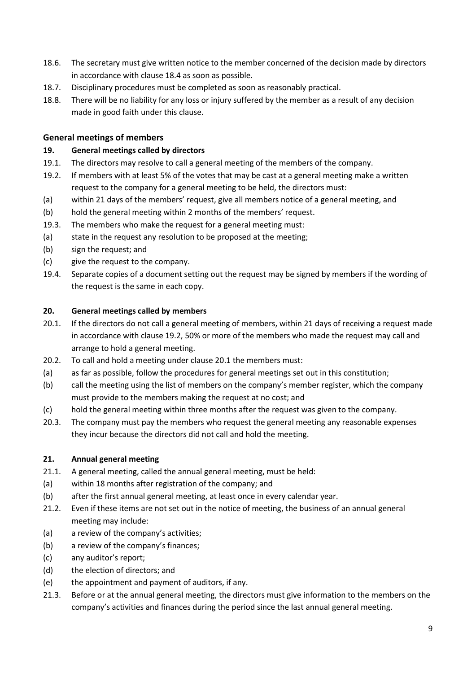- 18.6. The secretary must give written notice to the member concerned of the decision made by directors in accordance with clause 18.4 as soon as possible.
- 18.7. Disciplinary procedures must be completed as soon as reasonably practical.
- 18.8. There will be no liability for any loss or injury suffered by the member as a result of any decision made in good faith under this clause.

# General meetings of members

### 19. General meetings called by directors

- 19.1. The directors may resolve to call a general meeting of the members of the company.
- 19.2. If members with at least 5% of the votes that may be cast at a general meeting make a written request to the company for a general meeting to be held, the directors must:
- (a) within 21 days of the members' request, give all members notice of a general meeting, and
- (b) hold the general meeting within 2 months of the members' request.
- 19.3. The members who make the request for a general meeting must:
- (a) state in the request any resolution to be proposed at the meeting;
- (b) sign the request; and
- (c) give the request to the company.
- 19.4. Separate copies of a document setting out the request may be signed by members if the wording of the request is the same in each copy.

#### 20. General meetings called by members

- 20.1. If the directors do not call a general meeting of members, within 21 days of receiving a request made in accordance with clause 19.2, 50% or more of the members who made the request may call and arrange to hold a general meeting.
- 20.2. To call and hold a meeting under clause 20.1 the members must:
- (a) as far as possible, follow the procedures for general meetings set out in this constitution;
- (b) call the meeting using the list of members on the company's member register, which the company must provide to the members making the request at no cost; and
- (c) hold the general meeting within three months after the request was given to the company.
- 20.3. The company must pay the members who request the general meeting any reasonable expenses they incur because the directors did not call and hold the meeting.

#### 21. Annual general meeting

- 21.1. A general meeting, called the annual general meeting, must be held:
- (a) within 18 months after registration of the company; and
- (b) after the first annual general meeting, at least once in every calendar year.
- 21.2. Even if these items are not set out in the notice of meeting, the business of an annual general meeting may include:
- (a) a review of the company's activities;
- (b) a review of the company's finances;
- (c) any auditor's report;
- (d) the election of directors; and
- (e) the appointment and payment of auditors, if any.
- 21.3. Before or at the annual general meeting, the directors must give information to the members on the company's activities and finances during the period since the last annual general meeting.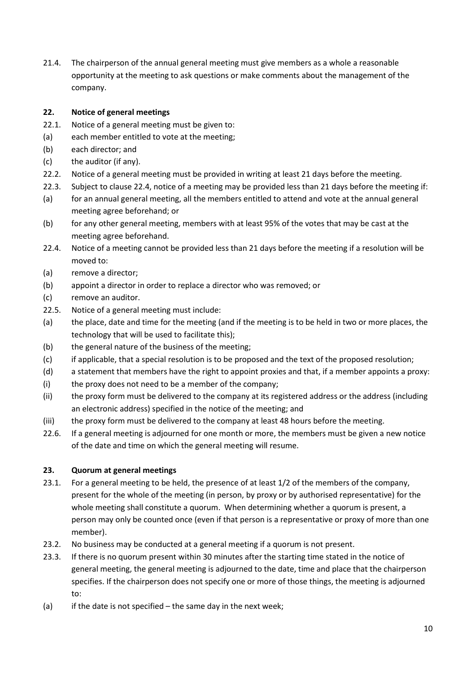21.4. The chairperson of the annual general meeting must give members as a whole a reasonable opportunity at the meeting to ask questions or make comments about the management of the company.

# 22. Notice of general meetings

- 22.1. Notice of a general meeting must be given to:
- (a) each member entitled to vote at the meeting;
- (b) each director; and
- (c) the auditor (if any).
- 22.2. Notice of a general meeting must be provided in writing at least 21 days before the meeting.
- 22.3. Subject to clause 22.4, notice of a meeting may be provided less than 21 days before the meeting if:
- (a) for an annual general meeting, all the members entitled to attend and vote at the annual general meeting agree beforehand; or
- (b) for any other general meeting, members with at least 95% of the votes that may be cast at the meeting agree beforehand.
- 22.4. Notice of a meeting cannot be provided less than 21 days before the meeting if a resolution will be moved to:
- (a) remove a director;
- (b) appoint a director in order to replace a director who was removed; or
- (c) remove an auditor.
- 22.5. Notice of a general meeting must include:
- (a) the place, date and time for the meeting (and if the meeting is to be held in two or more places, the technology that will be used to facilitate this);
- (b) the general nature of the business of the meeting;
- (c) if applicable, that a special resolution is to be proposed and the text of the proposed resolution;
- (d) a statement that members have the right to appoint proxies and that, if a member appoints a proxy:
- (i) the proxy does not need to be a member of the company;
- (ii) the proxy form must be delivered to the company at its registered address or the address (including an electronic address) specified in the notice of the meeting; and
- (iii) the proxy form must be delivered to the company at least 48 hours before the meeting.
- 22.6. If a general meeting is adjourned for one month or more, the members must be given a new notice of the date and time on which the general meeting will resume.

### 23. Quorum at general meetings

- 23.1. For a general meeting to be held, the presence of at least 1/2 of the members of the company, present for the whole of the meeting (in person, by proxy or by authorised representative) for the whole meeting shall constitute a quorum. When determining whether a quorum is present, a person may only be counted once (even if that person is a representative or proxy of more than one member).
- 23.2. No business may be conducted at a general meeting if a quorum is not present.
- 23.3. If there is no quorum present within 30 minutes after the starting time stated in the notice of general meeting, the general meeting is adjourned to the date, time and place that the chairperson specifies. If the chairperson does not specify one or more of those things, the meeting is adjourned to:
- (a) if the date is not specified the same day in the next week;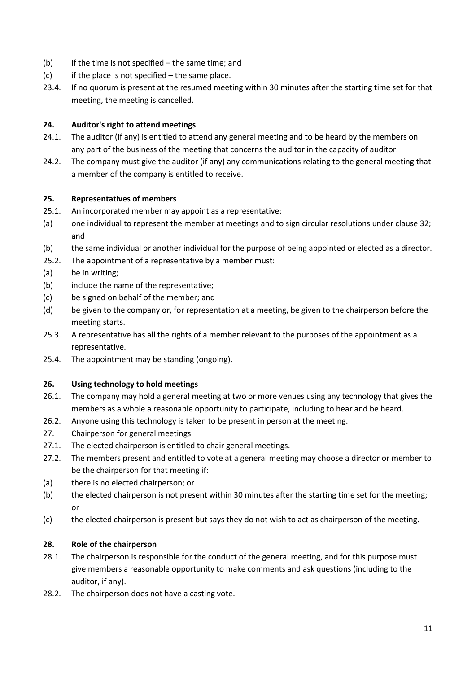- (b) if the time is not specified the same time; and
- $(c)$  if the place is not specified the same place.
- 23.4. If no quorum is present at the resumed meeting within 30 minutes after the starting time set for that meeting, the meeting is cancelled.

### 24. Auditor's right to attend meetings

- 24.1. The auditor (if any) is entitled to attend any general meeting and to be heard by the members on any part of the business of the meeting that concerns the auditor in the capacity of auditor.
- 24.2. The company must give the auditor (if any) any communications relating to the general meeting that a member of the company is entitled to receive.

### 25. Representatives of members

- 25.1. An incorporated member may appoint as a representative:
- (a) one individual to represent the member at meetings and to sign circular resolutions under clause 32; and
- (b) the same individual or another individual for the purpose of being appointed or elected as a director.
- 25.2. The appointment of a representative by a member must:
- (a) be in writing;
- (b) include the name of the representative;
- (c) be signed on behalf of the member; and
- (d) be given to the company or, for representation at a meeting, be given to the chairperson before the meeting starts.
- 25.3. A representative has all the rights of a member relevant to the purposes of the appointment as a representative.
- 25.4. The appointment may be standing (ongoing).

### 26. Using technology to hold meetings

- 26.1. The company may hold a general meeting at two or more venues using any technology that gives the members as a whole a reasonable opportunity to participate, including to hear and be heard.
- 26.2. Anyone using this technology is taken to be present in person at the meeting.
- 27. Chairperson for general meetings
- 27.1. The elected chairperson is entitled to chair general meetings.
- 27.2. The members present and entitled to vote at a general meeting may choose a director or member to be the chairperson for that meeting if:
- (a) there is no elected chairperson; or
- (b) the elected chairperson is not present within 30 minutes after the starting time set for the meeting; or
- (c) the elected chairperson is present but says they do not wish to act as chairperson of the meeting.

# 28. Role of the chairperson

- 28.1. The chairperson is responsible for the conduct of the general meeting, and for this purpose must give members a reasonable opportunity to make comments and ask questions (including to the auditor, if any).
- 28.2. The chairperson does not have a casting vote.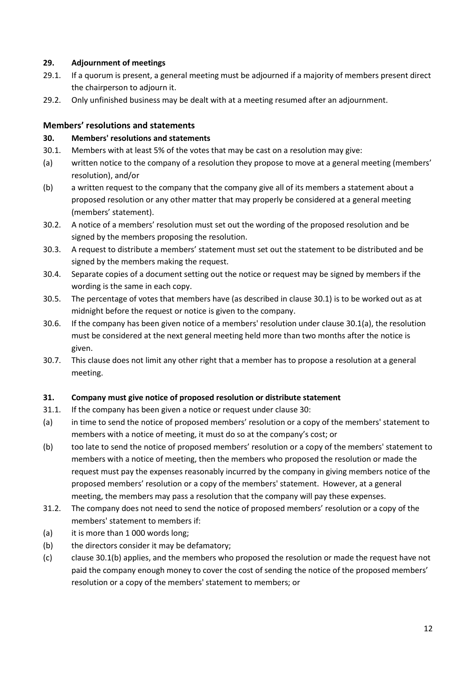### 29. Adjournment of meetings

- 29.1. If a quorum is present, a general meeting must be adjourned if a majority of members present direct the chairperson to adjourn it.
- 29.2. Only unfinished business may be dealt with at a meeting resumed after an adjournment.

# Members' resolutions and statements

### 30. Members' resolutions and statements

- 30.1. Members with at least 5% of the votes that may be cast on a resolution may give:
- (a) written notice to the company of a resolution they propose to move at a general meeting (members' resolution), and/or
- (b) a written request to the company that the company give all of its members a statement about a proposed resolution or any other matter that may properly be considered at a general meeting (members' statement).
- 30.2. A notice of a members' resolution must set out the wording of the proposed resolution and be signed by the members proposing the resolution.
- 30.3. A request to distribute a members' statement must set out the statement to be distributed and be signed by the members making the request.
- 30.4. Separate copies of a document setting out the notice or request may be signed by members if the wording is the same in each copy.
- 30.5. The percentage of votes that members have (as described in clause 30.1) is to be worked out as at midnight before the request or notice is given to the company.
- 30.6. If the company has been given notice of a members' resolution under clause 30.1(a), the resolution must be considered at the next general meeting held more than two months after the notice is given.
- 30.7. This clause does not limit any other right that a member has to propose a resolution at a general meeting.

### 31. Company must give notice of proposed resolution or distribute statement

- 31.1. If the company has been given a notice or request under clause 30:
- (a) in time to send the notice of proposed members' resolution or a copy of the members' statement to members with a notice of meeting, it must do so at the company's cost; or
- (b) too late to send the notice of proposed members' resolution or a copy of the members' statement to members with a notice of meeting, then the members who proposed the resolution or made the request must pay the expenses reasonably incurred by the company in giving members notice of the proposed members' resolution or a copy of the members' statement. However, at a general meeting, the members may pass a resolution that the company will pay these expenses.
- 31.2. The company does not need to send the notice of proposed members' resolution or a copy of the members' statement to members if:
- (a) it is more than 1 000 words long;
- (b) the directors consider it may be defamatory;
- (c) clause 30.1(b) applies, and the members who proposed the resolution or made the request have not paid the company enough money to cover the cost of sending the notice of the proposed members' resolution or a copy of the members' statement to members; or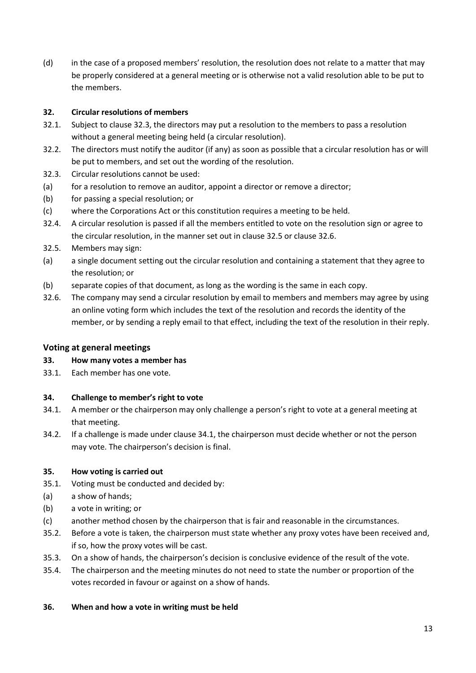(d) in the case of a proposed members' resolution, the resolution does not relate to a matter that may be properly considered at a general meeting or is otherwise not a valid resolution able to be put to the members.

### 32. Circular resolutions of members

- 32.1. Subject to clause 32.3, the directors may put a resolution to the members to pass a resolution without a general meeting being held (a circular resolution).
- 32.2. The directors must notify the auditor (if any) as soon as possible that a circular resolution has or will be put to members, and set out the wording of the resolution.
- 32.3. Circular resolutions cannot be used:
- (a) for a resolution to remove an auditor, appoint a director or remove a director;
- (b) for passing a special resolution; or
- (c) where the Corporations Act or this constitution requires a meeting to be held.
- 32.4. A circular resolution is passed if all the members entitled to vote on the resolution sign or agree to the circular resolution, in the manner set out in clause 32.5 or clause 32.6.
- 32.5. Members may sign:
- (a) a single document setting out the circular resolution and containing a statement that they agree to the resolution; or
- (b) separate copies of that document, as long as the wording is the same in each copy.
- 32.6. The company may send a circular resolution by email to members and members may agree by using an online voting form which includes the text of the resolution and records the identity of the member, or by sending a reply email to that effect, including the text of the resolution in their reply.

### Voting at general meetings

- 33. How many votes a member has
- 33.1. Each member has one vote.

### 34. Challenge to member's right to vote

- 34.1. A member or the chairperson may only challenge a person's right to vote at a general meeting at that meeting.
- 34.2. If a challenge is made under clause 34.1, the chairperson must decide whether or not the person may vote. The chairperson's decision is final.

### 35. How voting is carried out

- 35.1. Voting must be conducted and decided by:
- (a) a show of hands;
- (b) a vote in writing; or
- (c) another method chosen by the chairperson that is fair and reasonable in the circumstances.
- 35.2. Before a vote is taken, the chairperson must state whether any proxy votes have been received and, if so, how the proxy votes will be cast.
- 35.3. On a show of hands, the chairperson's decision is conclusive evidence of the result of the vote.
- 35.4. The chairperson and the meeting minutes do not need to state the number or proportion of the votes recorded in favour or against on a show of hands.

### 36. When and how a vote in writing must be held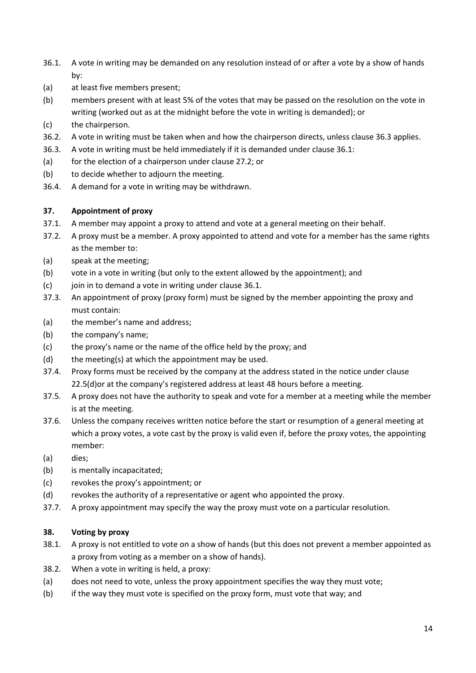- 36.1. A vote in writing may be demanded on any resolution instead of or after a vote by a show of hands by:
- (a) at least five members present;
- (b) members present with at least 5% of the votes that may be passed on the resolution on the vote in writing (worked out as at the midnight before the vote in writing is demanded); or
- (c) the chairperson.
- 36.2. A vote in writing must be taken when and how the chairperson directs, unless clause 36.3 applies.
- 36.3. A vote in writing must be held immediately if it is demanded under clause 36.1:
- (a) for the election of a chairperson under clause 27.2; or
- (b) to decide whether to adjourn the meeting.
- 36.4. A demand for a vote in writing may be withdrawn.

### 37. Appointment of proxy

- 37.1. A member may appoint a proxy to attend and vote at a general meeting on their behalf.
- 37.2. A proxy must be a member. A proxy appointed to attend and vote for a member has the same rights as the member to:
- (a) speak at the meeting;
- (b) vote in a vote in writing (but only to the extent allowed by the appointment); and
- $(c)$  join in to demand a vote in writing under clause 36.1.
- 37.3. An appointment of proxy (proxy form) must be signed by the member appointing the proxy and must contain:
- (a) the member's name and address;
- (b) the company's name;
- (c) the proxy's name or the name of the office held by the proxy; and
- (d) the meeting(s) at which the appointment may be used.
- 37.4. Proxy forms must be received by the company at the address stated in the notice under clause 22.5(d)or at the company's registered address at least 48 hours before a meeting.
- 37.5. A proxy does not have the authority to speak and vote for a member at a meeting while the member is at the meeting.
- 37.6. Unless the company receives written notice before the start or resumption of a general meeting at which a proxy votes, a vote cast by the proxy is valid even if, before the proxy votes, the appointing member:
- (a) dies;
- (b) is mentally incapacitated;
- (c) revokes the proxy's appointment; or
- (d) revokes the authority of a representative or agent who appointed the proxy.
- 37.7. A proxy appointment may specify the way the proxy must vote on a particular resolution.

### 38. Voting by proxy

- 38.1. A proxy is not entitled to vote on a show of hands (but this does not prevent a member appointed as a proxy from voting as a member on a show of hands).
- 38.2. When a vote in writing is held, a proxy:
- (a) does not need to vote, unless the proxy appointment specifies the way they must vote;
- (b) if the way they must vote is specified on the proxy form, must vote that way; and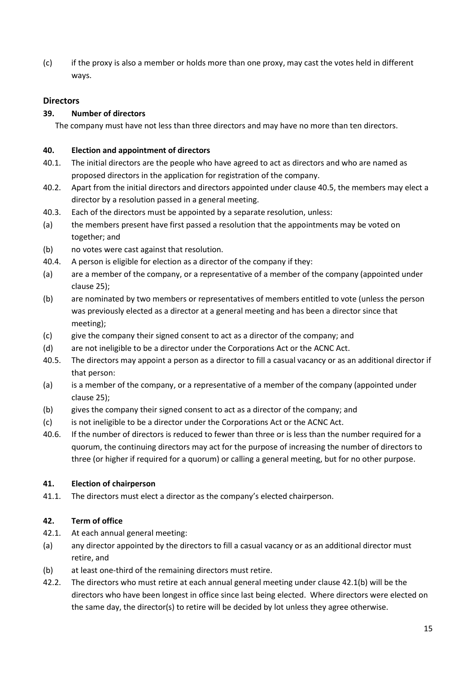(c) if the proxy is also a member or holds more than one proxy, may cast the votes held in different ways.

# **Directors**

# 39. Number of directors

The company must have not less than three directors and may have no more than ten directors.

### 40. Election and appointment of directors

- 40.1. The initial directors are the people who have agreed to act as directors and who are named as proposed directors in the application for registration of the company.
- 40.2. Apart from the initial directors and directors appointed under clause 40.5, the members may elect a director by a resolution passed in a general meeting.
- 40.3. Each of the directors must be appointed by a separate resolution, unless:
- (a) the members present have first passed a resolution that the appointments may be voted on together; and
- (b) no votes were cast against that resolution.
- 40.4. A person is eligible for election as a director of the company if they:
- (a) are a member of the company, or a representative of a member of the company (appointed under clause 25);
- (b) are nominated by two members or representatives of members entitled to vote (unless the person was previously elected as a director at a general meeting and has been a director since that meeting);
- (c) give the company their signed consent to act as a director of the company; and
- (d) are not ineligible to be a director under the Corporations Act or the ACNC Act.
- 40.5. The directors may appoint a person as a director to fill a casual vacancy or as an additional director if that person:
- (a) is a member of the company, or a representative of a member of the company (appointed under clause 25);
- (b) gives the company their signed consent to act as a director of the company; and
- (c) is not ineligible to be a director under the Corporations Act or the ACNC Act.
- 40.6. If the number of directors is reduced to fewer than three or is less than the number required for a quorum, the continuing directors may act for the purpose of increasing the number of directors to three (or higher if required for a quorum) or calling a general meeting, but for no other purpose.

### 41. Election of chairperson

41.1. The directors must elect a director as the company's elected chairperson.

# 42. Term of office

- 42.1. At each annual general meeting:
- (a) any director appointed by the directors to fill a casual vacancy or as an additional director must retire, and
- (b) at least one-third of the remaining directors must retire.
- 42.2. The directors who must retire at each annual general meeting under clause 42.1(b) will be the directors who have been longest in office since last being elected. Where directors were elected on the same day, the director(s) to retire will be decided by lot unless they agree otherwise.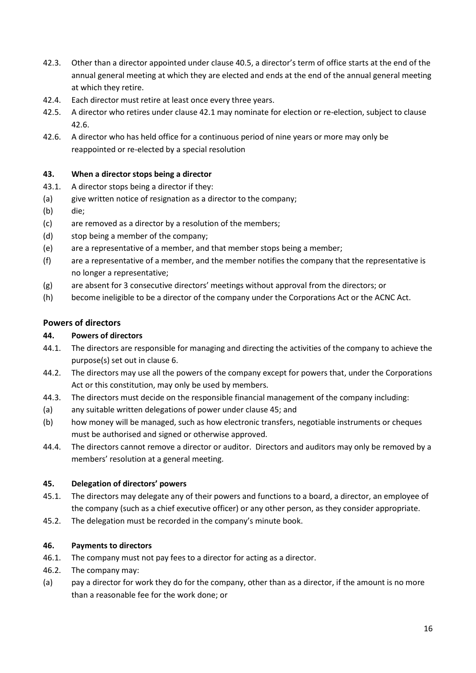- 42.3. Other than a director appointed under clause 40.5, a director's term of office starts at the end of the annual general meeting at which they are elected and ends at the end of the annual general meeting at which they retire.
- 42.4. Each director must retire at least once every three years.
- 42.5. A director who retires under clause 42.1 may nominate for election or re-election, subject to clause 42.6.
- 42.6. A director who has held office for a continuous period of nine years or more may only be reappointed or re-elected by a special resolution

# 43. When a director stops being a director

- 43.1. A director stops being a director if they:
- (a) give written notice of resignation as a director to the company;
- (b) die;
- (c) are removed as a director by a resolution of the members;
- (d) stop being a member of the company;
- (e) are a representative of a member, and that member stops being a member;
- (f) are a representative of a member, and the member notifies the company that the representative is no longer a representative;
- (g) are absent for 3 consecutive directors' meetings without approval from the directors; or
- (h) become ineligible to be a director of the company under the Corporations Act or the ACNC Act.

# Powers of directors

### 44. Powers of directors

- 44.1. The directors are responsible for managing and directing the activities of the company to achieve the purpose(s) set out in clause 6.
- 44.2. The directors may use all the powers of the company except for powers that, under the Corporations Act or this constitution, may only be used by members.
- 44.3. The directors must decide on the responsible financial management of the company including:
- (a) any suitable written delegations of power under clause 45; and
- (b) how money will be managed, such as how electronic transfers, negotiable instruments or cheques must be authorised and signed or otherwise approved.
- 44.4. The directors cannot remove a director or auditor. Directors and auditors may only be removed by a members' resolution at a general meeting.

### 45. Delegation of directors' powers

- 45.1. The directors may delegate any of their powers and functions to a board, a director, an employee of the company (such as a chief executive officer) or any other person, as they consider appropriate.
- 45.2. The delegation must be recorded in the company's minute book.

### 46. Payments to directors

- 46.1. The company must not pay fees to a director for acting as a director.
- 46.2. The company may:
- (a) pay a director for work they do for the company, other than as a director, if the amount is no more than a reasonable fee for the work done; or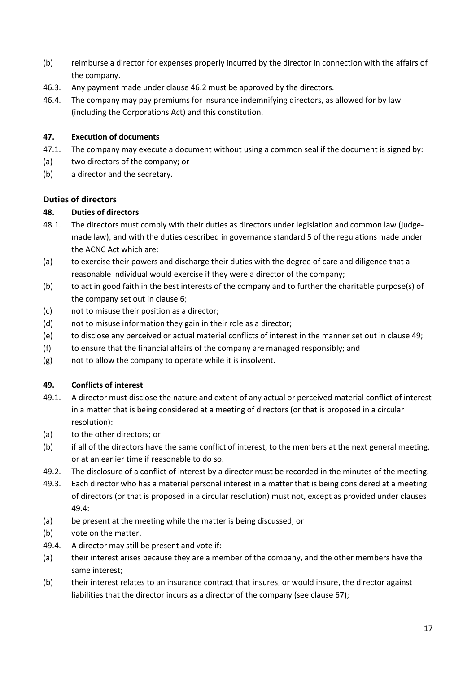- (b) reimburse a director for expenses properly incurred by the director in connection with the affairs of the company.
- 46.3. Any payment made under clause 46.2 must be approved by the directors.
- 46.4. The company may pay premiums for insurance indemnifying directors, as allowed for by law (including the Corporations Act) and this constitution.

# 47. Execution of documents

- 47.1. The company may execute a document without using a common seal if the document is signed by:
- (a) two directors of the company; or
- (b) a director and the secretary.

# Duties of directors

# 48. Duties of directors

- 48.1. The directors must comply with their duties as directors under legislation and common law (judgemade law), and with the duties described in governance standard 5 of the regulations made under the ACNC Act which are:
- (a) to exercise their powers and discharge their duties with the degree of care and diligence that a reasonable individual would exercise if they were a director of the company;
- (b) to act in good faith in the best interests of the company and to further the charitable purpose(s) of the company set out in clause 6;
- (c) not to misuse their position as a director;
- (d) not to misuse information they gain in their role as a director;
- (e) to disclose any perceived or actual material conflicts of interest in the manner set out in clause 49;
- (f) to ensure that the financial affairs of the company are managed responsibly; and
- (g) not to allow the company to operate while it is insolvent.

# 49. Conflicts of interest

- 49.1. A director must disclose the nature and extent of any actual or perceived material conflict of interest in a matter that is being considered at a meeting of directors (or that is proposed in a circular resolution):
- (a) to the other directors; or
- (b) if all of the directors have the same conflict of interest, to the members at the next general meeting, or at an earlier time if reasonable to do so.
- 49.2. The disclosure of a conflict of interest by a director must be recorded in the minutes of the meeting.
- 49.3. Each director who has a material personal interest in a matter that is being considered at a meeting of directors (or that is proposed in a circular resolution) must not, except as provided under clauses 49.4:
- (a) be present at the meeting while the matter is being discussed; or
- (b) vote on the matter.
- 49.4. A director may still be present and vote if:
- (a) their interest arises because they are a member of the company, and the other members have the same interest;
- (b) their interest relates to an insurance contract that insures, or would insure, the director against liabilities that the director incurs as a director of the company (see clause 67);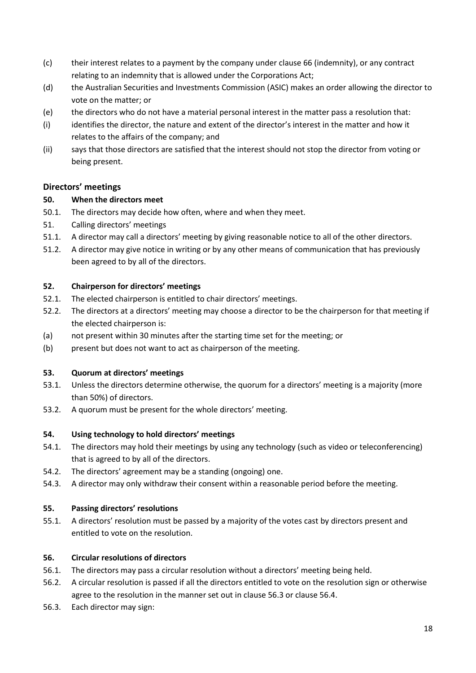- (c) their interest relates to a payment by the company under clause 66 (indemnity), or any contract relating to an indemnity that is allowed under the Corporations Act;
- (d) the Australian Securities and Investments Commission (ASIC) makes an order allowing the director to vote on the matter; or
- (e) the directors who do not have a material personal interest in the matter pass a resolution that:
- (i) identifies the director, the nature and extent of the director's interest in the matter and how it relates to the affairs of the company; and
- (ii) says that those directors are satisfied that the interest should not stop the director from voting or being present.

# Directors' meetings

### 50. When the directors meet

- 50.1. The directors may decide how often, where and when they meet.
- 51. Calling directors' meetings
- 51.1. A director may call a directors' meeting by giving reasonable notice to all of the other directors.
- 51.2. A director may give notice in writing or by any other means of communication that has previously been agreed to by all of the directors.

### 52. Chairperson for directors' meetings

- 52.1. The elected chairperson is entitled to chair directors' meetings.
- 52.2. The directors at a directors' meeting may choose a director to be the chairperson for that meeting if the elected chairperson is:
- (a) not present within 30 minutes after the starting time set for the meeting; or
- (b) present but does not want to act as chairperson of the meeting.

### 53. Quorum at directors' meetings

- 53.1. Unless the directors determine otherwise, the quorum for a directors' meeting is a majority (more than 50%) of directors.
- 53.2. A quorum must be present for the whole directors' meeting.

### 54. Using technology to hold directors' meetings

- 54.1. The directors may hold their meetings by using any technology (such as video or teleconferencing) that is agreed to by all of the directors.
- 54.2. The directors' agreement may be a standing (ongoing) one.
- 54.3. A director may only withdraw their consent within a reasonable period before the meeting.

### 55. Passing directors' resolutions

55.1. A directors' resolution must be passed by a majority of the votes cast by directors present and entitled to vote on the resolution.

# 56. Circular resolutions of directors

- 56.1. The directors may pass a circular resolution without a directors' meeting being held.
- 56.2. A circular resolution is passed if all the directors entitled to vote on the resolution sign or otherwise agree to the resolution in the manner set out in clause 56.3 or clause 56.4.
- 56.3. Each director may sign: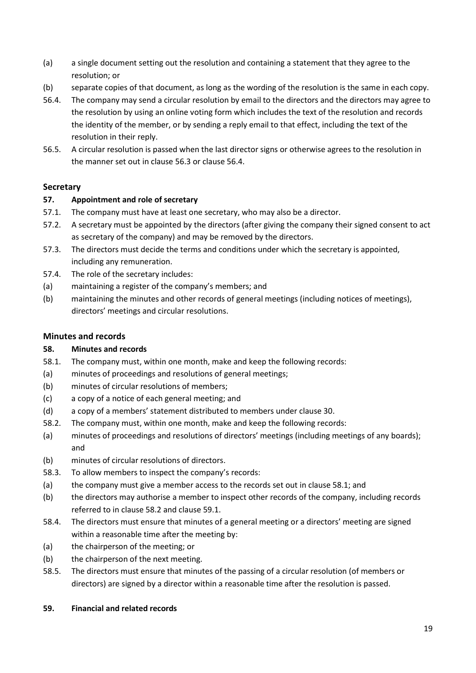- (a) a single document setting out the resolution and containing a statement that they agree to the resolution; or
- (b) separate copies of that document, as long as the wording of the resolution is the same in each copy.
- 56.4. The company may send a circular resolution by email to the directors and the directors may agree to the resolution by using an online voting form which includes the text of the resolution and records the identity of the member, or by sending a reply email to that effect, including the text of the resolution in their reply.
- 56.5. A circular resolution is passed when the last director signs or otherwise agrees to the resolution in the manner set out in clause 56.3 or clause 56.4.

# **Secretary**

# 57. Appointment and role of secretary

- 57.1. The company must have at least one secretary, who may also be a director.
- 57.2. A secretary must be appointed by the directors (after giving the company their signed consent to act as secretary of the company) and may be removed by the directors.
- 57.3. The directors must decide the terms and conditions under which the secretary is appointed, including any remuneration.
- 57.4. The role of the secretary includes:
- (a) maintaining a register of the company's members; and
- (b) maintaining the minutes and other records of general meetings (including notices of meetings), directors' meetings and circular resolutions.

# Minutes and records

# 58. Minutes and records

- 58.1. The company must, within one month, make and keep the following records:
- (a) minutes of proceedings and resolutions of general meetings;
- (b) minutes of circular resolutions of members;
- (c) a copy of a notice of each general meeting; and
- (d) a copy of a members' statement distributed to members under clause 30.
- 58.2. The company must, within one month, make and keep the following records:
- (a) minutes of proceedings and resolutions of directors' meetings (including meetings of any boards); and
- (b) minutes of circular resolutions of directors.
- 58.3. To allow members to inspect the company's records:
- (a) the company must give a member access to the records set out in clause 58.1; and
- (b) the directors may authorise a member to inspect other records of the company, including records referred to in clause 58.2 and clause 59.1.
- 58.4. The directors must ensure that minutes of a general meeting or a directors' meeting are signed within a reasonable time after the meeting by:
- (a) the chairperson of the meeting; or
- (b) the chairperson of the next meeting.
- 58.5. The directors must ensure that minutes of the passing of a circular resolution (of members or directors) are signed by a director within a reasonable time after the resolution is passed.

### 59. Financial and related records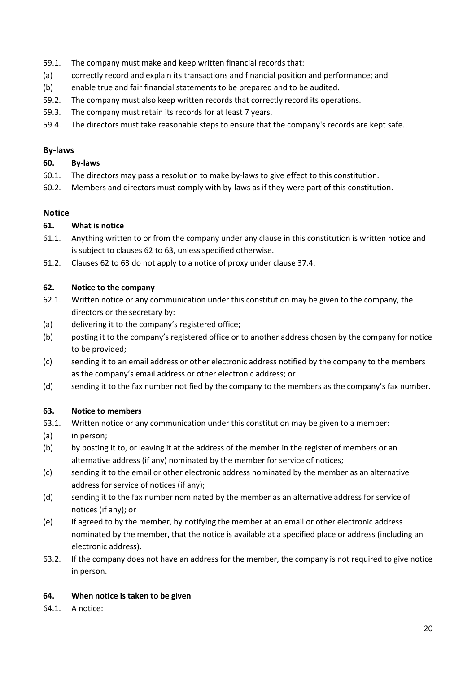- 59.1. The company must make and keep written financial records that:
- (a) correctly record and explain its transactions and financial position and performance; and
- (b) enable true and fair financial statements to be prepared and to be audited.
- 59.2. The company must also keep written records that correctly record its operations.
- 59.3. The company must retain its records for at least 7 years.
- 59.4. The directors must take reasonable steps to ensure that the company's records are kept safe.

#### By-laws

#### 60. By-laws

- 60.1. The directors may pass a resolution to make by-laws to give effect to this constitution.
- 60.2. Members and directors must comply with by-laws as if they were part of this constitution.

#### **Notice**

#### 61. What is notice

- 61.1. Anything written to or from the company under any clause in this constitution is written notice and is subject to clauses 62 to 63, unless specified otherwise.
- 61.2. Clauses 62 to 63 do not apply to a notice of proxy under clause 37.4.

#### 62. Notice to the company

- 62.1. Written notice or any communication under this constitution may be given to the company, the directors or the secretary by:
- (a) delivering it to the company's registered office;
- (b) posting it to the company's registered office or to another address chosen by the company for notice to be provided;
- (c) sending it to an email address or other electronic address notified by the company to the members as the company's email address or other electronic address; or
- (d) sending it to the fax number notified by the company to the members as the company's fax number.

### 63. Notice to members

- 63.1. Written notice or any communication under this constitution may be given to a member:
- (a) in person;
- (b) by posting it to, or leaving it at the address of the member in the register of members or an alternative address (if any) nominated by the member for service of notices;
- (c) sending it to the email or other electronic address nominated by the member as an alternative address for service of notices (if any);
- (d) sending it to the fax number nominated by the member as an alternative address for service of notices (if any); or
- (e) if agreed to by the member, by notifying the member at an email or other electronic address nominated by the member, that the notice is available at a specified place or address (including an electronic address).
- 63.2. If the company does not have an address for the member, the company is not required to give notice in person.

### 64. When notice is taken to be given

64.1. A notice: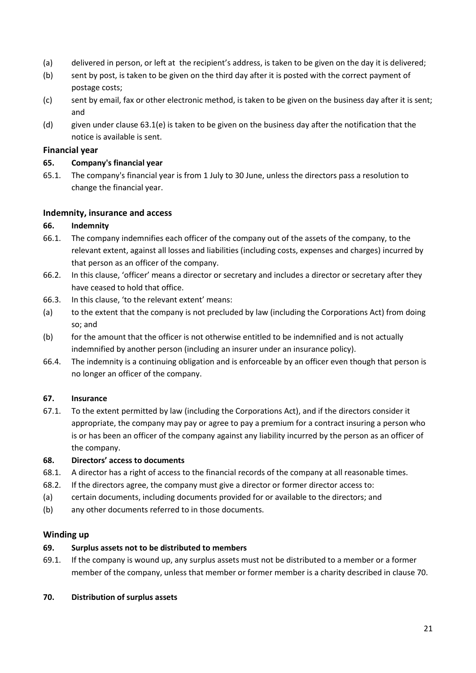- (a) delivered in person, or left at the recipient's address, is taken to be given on the day it is delivered;
- (b) sent by post, is taken to be given on the third day after it is posted with the correct payment of postage costs;
- (c) sent by email, fax or other electronic method, is taken to be given on the business day after it is sent; and
- (d) given under clause 63.1(e) is taken to be given on the business day after the notification that the notice is available is sent.

#### Financial year

#### 65. Company's financial year

65.1. The company's financial year is from 1 July to 30 June, unless the directors pass a resolution to change the financial year.

#### Indemnity, insurance and access

#### 66. Indemnity

- 66.1. The company indemnifies each officer of the company out of the assets of the company, to the relevant extent, against all losses and liabilities (including costs, expenses and charges) incurred by that person as an officer of the company.
- 66.2. In this clause, 'officer' means a director or secretary and includes a director or secretary after they have ceased to hold that office.
- 66.3. In this clause, 'to the relevant extent' means:
- (a) to the extent that the company is not precluded by law (including the Corporations Act) from doing so; and
- (b) for the amount that the officer is not otherwise entitled to be indemnified and is not actually indemnified by another person (including an insurer under an insurance policy).
- 66.4. The indemnity is a continuing obligation and is enforceable by an officer even though that person is no longer an officer of the company.

### 67. Insurance

67.1. To the extent permitted by law (including the Corporations Act), and if the directors consider it appropriate, the company may pay or agree to pay a premium for a contract insuring a person who is or has been an officer of the company against any liability incurred by the person as an officer of the company.

#### 68. Directors' access to documents

- 68.1. A director has a right of access to the financial records of the company at all reasonable times.
- 68.2. If the directors agree, the company must give a director or former director access to:
- (a) certain documents, including documents provided for or available to the directors; and
- (b) any other documents referred to in those documents.

#### Winding up

# 69. Surplus assets not to be distributed to members

69.1. If the company is wound up, any surplus assets must not be distributed to a member or a former member of the company, unless that member or former member is a charity described in clause 70.

#### 70. Distribution of surplus assets